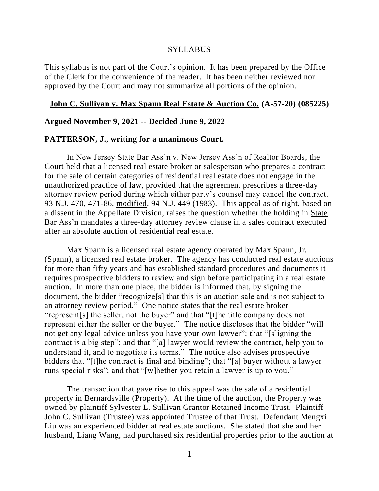#### **SYLLABUS**

This syllabus is not part of the Court's opinion. It has been prepared by the Office of the Clerk for the convenience of the reader. It has been neither reviewed nor approved by the Court and may not summarize all portions of the opinion.

#### **John C. Sullivan v. Max Spann Real Estate & Auction Co. (A-57-20) (085225)**

### **Argued November 9, 2021 -- Decided June 9, 2022**

#### **PATTERSON, J., writing for a unanimous Court.**

In New Jersey State Bar Ass'n v. New Jersey Ass'n of Realtor Boards, the Court held that a licensed real estate broker or salesperson who prepares a contract for the sale of certain categories of residential real estate does not engage in the unauthorized practice of law, provided that the agreement prescribes a three-day attorney review period during which either party's counsel may cancel the contract. 93 N.J. 470, 471-86, modified, 94 N.J. 449 (1983). This appeal as of right, based on a dissent in the Appellate Division, raises the question whether the holding in State Bar Ass'n mandates a three-day attorney review clause in a sales contract executed after an absolute auction of residential real estate.

Max Spann is a licensed real estate agency operated by Max Spann, Jr. (Spann), a licensed real estate broker. The agency has conducted real estate auctions for more than fifty years and has established standard procedures and documents it requires prospective bidders to review and sign before participating in a real estate auction. In more than one place, the bidder is informed that, by signing the document, the bidder "recognize[s] that this is an auction sale and is not subject to an attorney review period." One notice states that the real estate broker "represent[s] the seller, not the buyer" and that "[t]he title company does not represent either the seller or the buyer." The notice discloses that the bidder "will not get any legal advice unless you have your own lawyer"; that "[s]igning the contract is a big step"; and that "[a] lawyer would review the contract, help you to understand it, and to negotiate its terms." The notice also advises prospective bidders that "[t]he contract is final and binding"; that "[a] buyer without a lawyer runs special risks"; and that "[w]hether you retain a lawyer is up to you."

The transaction that gave rise to this appeal was the sale of a residential property in Bernardsville (Property). At the time of the auction, the Property was owned by plaintiff Sylvester L. Sullivan Grantor Retained Income Trust. Plaintiff John C. Sullivan (Trustee) was appointed Trustee of that Trust. Defendant Mengxi Liu was an experienced bidder at real estate auctions. She stated that she and her husband, Liang Wang, had purchased six residential properties prior to the auction at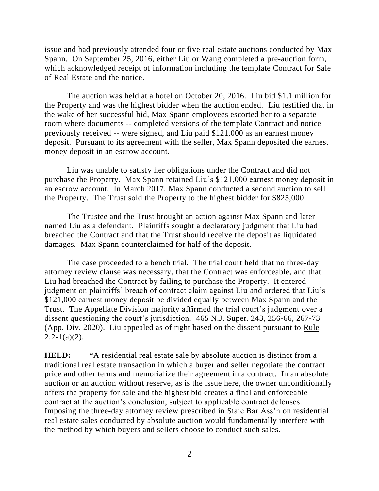issue and had previously attended four or five real estate auctions conducted by Max Spann. On September 25, 2016, either Liu or Wang completed a pre-auction form, which acknowledged receipt of information including the template Contract for Sale of Real Estate and the notice.

The auction was held at a hotel on October 20, 2016. Liu bid \$1.1 million for the Property and was the highest bidder when the auction ended. Liu testified that in the wake of her successful bid, Max Spann employees escorted her to a separate room where documents -- completed versions of the template Contract and notice previously received -- were signed, and Liu paid \$121,000 as an earnest money deposit. Pursuant to its agreement with the seller, Max Spann deposited the earnest money deposit in an escrow account.

Liu was unable to satisfy her obligations under the Contract and did not purchase the Property. Max Spann retained Liu's \$121,000 earnest money deposit in an escrow account. In March 2017, Max Spann conducted a second auction to sell the Property. The Trust sold the Property to the highest bidder for \$825,000.

The Trustee and the Trust brought an action against Max Spann and later named Liu as a defendant. Plaintiffs sought a declaratory judgment that Liu had breached the Contract and that the Trust should receive the deposit as liquidated damages. Max Spann counterclaimed for half of the deposit.

The case proceeded to a bench trial. The trial court held that no three-day attorney review clause was necessary, that the Contract was enforceable, and that Liu had breached the Contract by failing to purchase the Property. It entered judgment on plaintiffs' breach of contract claim against Liu and ordered that Liu's \$121,000 earnest money deposit be divided equally between Max Spann and the Trust. The Appellate Division majority affirmed the trial court's judgment over a dissent questioning the court's jurisdiction. 465 N.J. Super. 243, 256-66, 267-73 (App. Div. 2020). Liu appealed as of right based on the dissent pursuant to Rule  $2:2-1(a)(2)$ .

**HELD:** \*A residential real estate sale by absolute auction is distinct from a traditional real estate transaction in which a buyer and seller negotiate the contract price and other terms and memorialize their agreement in a contract. In an absolute auction or an auction without reserve, as is the issue here, the owner unconditionally offers the property for sale and the highest bid creates a final and enforceable contract at the auction's conclusion, subject to applicable contract defenses. Imposing the three-day attorney review prescribed in State Bar Ass'n on residential real estate sales conducted by absolute auction would fundamentally interfere with the method by which buyers and sellers choose to conduct such sales.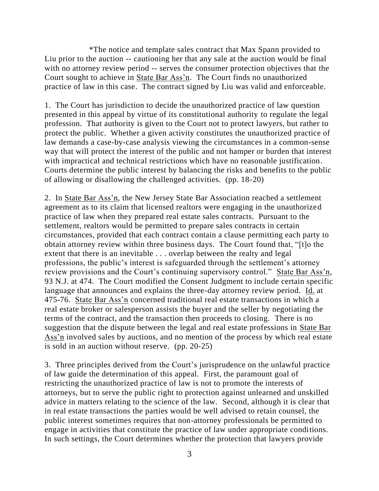\*The notice and template sales contract that Max Spann provided to Liu prior to the auction -- cautioning her that any sale at the auction would be final with no attorney review period -- serves the consumer protection objectives that the Court sought to achieve in State Bar Ass'n. The Court finds no unauthorized practice of law in this case. The contract signed by Liu was valid and enforceable.

1. The Court has jurisdiction to decide the unauthorized practice of law question presented in this appeal by virtue of its constitutional authority to regulate the legal profession. That authority is given to the Court not to protect lawyers, but rather to protect the public. Whether a given activity constitutes the unauthorized practice of law demands a case-by-case analysis viewing the circumstances in a common-sense way that will protect the interest of the public and not hamper or burden that interest with impractical and technical restrictions which have no reasonable justification. Courts determine the public interest by balancing the risks and benefits to the public of allowing or disallowing the challenged activities. (pp. 18-20)

2. In State Bar Ass'n, the New Jersey State Bar Association reached a settlement agreement as to its claim that licensed realtors were engaging in the unauthorized practice of law when they prepared real estate sales contracts. Pursuant to the settlement, realtors would be permitted to prepare sales contracts in certain circumstances, provided that each contract contain a clause permitting each party to obtain attorney review within three business days. The Court found that, "[t]o the extent that there is an inevitable . . . overlap between the realty and legal professions, the public's interest is safeguarded through the settlement's attorney review provisions and the Court's continuing supervisory control." State Bar Ass'n, 93 N.J. at 474. The Court modified the Consent Judgment to include certain specific language that announces and explains the three-day attorney review period. Id. at 475-76. State Bar Ass'n concerned traditional real estate transactions in which a real estate broker or salesperson assists the buyer and the seller by negotiating the terms of the contract, and the transaction then proceeds to closing. There is no suggestion that the dispute between the legal and real estate professions in State Bar Ass'n involved sales by auctions, and no mention of the process by which real estate is sold in an auction without reserve. (pp. 20-25)

3. Three principles derived from the Court's jurisprudence on the unlawful practice of law guide the determination of this appeal. First, the paramount goal of restricting the unauthorized practice of law is not to promote the interests of attorneys, but to serve the public right to protection against unlearned and unskilled advice in matters relating to the science of the law. Second, although it is clear that in real estate transactions the parties would be well advised to retain counsel, the public interest sometimes requires that non-attorney professionals be permitted to engage in activities that constitute the practice of law under appropriate conditions. In such settings, the Court determines whether the protection that lawyers provide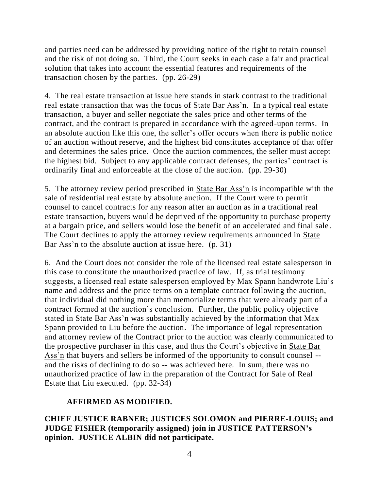and parties need can be addressed by providing notice of the right to retain counsel and the risk of not doing so. Third, the Court seeks in each case a fair and practical solution that takes into account the essential features and requirements of the transaction chosen by the parties. (pp. 26-29)

4. The real estate transaction at issue here stands in stark contrast to the traditional real estate transaction that was the focus of **State Bar Ass'n.** In a typical real estate transaction, a buyer and seller negotiate the sales price and other terms of the contract, and the contract is prepared in accordance with the agreed-upon terms. In an absolute auction like this one, the seller's offer occurs when there is public notice of an auction without reserve, and the highest bid constitutes acceptance of that offer and determines the sales price. Once the auction commences, the seller must accept the highest bid. Subject to any applicable contract defenses, the parties' contract is ordinarily final and enforceable at the close of the auction. (pp. 29-30)

5. The attorney review period prescribed in State Bar Ass'n is incompatible with the sale of residential real estate by absolute auction. If the Court were to permit counsel to cancel contracts for any reason after an auction as in a traditional real estate transaction, buyers would be deprived of the opportunity to purchase property at a bargain price, and sellers would lose the benefit of an accelerated and final sale. The Court declines to apply the attorney review requirements announced in State Bar Ass'n to the absolute auction at issue here. (p. 31)

6. And the Court does not consider the role of the licensed real estate salesperson in this case to constitute the unauthorized practice of law. If, as trial testimony suggests, a licensed real estate salesperson employed by Max Spann handwrote Liu's name and address and the price terms on a template contract following the auction, that individual did nothing more than memorialize terms that were already part of a contract formed at the auction's conclusion. Further, the public policy objective stated in State Bar Ass'n was substantially achieved by the information that Max Spann provided to Liu before the auction. The importance of legal representation and attorney review of the Contract prior to the auction was clearly communicated to the prospective purchaser in this case, and thus the Court's objective in State Bar Ass'n that buyers and sellers be informed of the opportunity to consult counsel - and the risks of declining to do so -- was achieved here. In sum, there was no unauthorized practice of law in the preparation of the Contract for Sale of Real Estate that Liu executed. (pp. 32-34)

# **AFFIRMED AS MODIFIED.**

**CHIEF JUSTICE RABNER; JUSTICES SOLOMON and PIERRE-LOUIS; and JUDGE FISHER (temporarily assigned) join in JUSTICE PATTERSON's opinion. JUSTICE ALBIN did not participate.**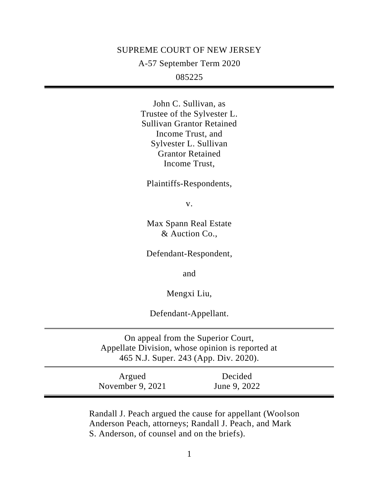### SUPREME COURT OF NEW JERSEY

A-57 September Term 2020

085225

John C. Sullivan, as Trustee of the Sylvester L. Sullivan Grantor Retained Income Trust, and Sylvester L. Sullivan Grantor Retained Income Trust,

Plaintiffs-Respondents,

v.

Max Spann Real Estate & Auction Co.,

Defendant-Respondent,

and

Mengxi Liu,

Defendant-Appellant.

On appeal from the Superior Court, Appellate Division, whose opinion is reported at 465 N.J. Super. 243 (App. Div. 2020).

Argued November 9, 2021 Decided June 9, 2022

Randall J. Peach argued the cause for appellant (Woolson Anderson Peach, attorneys; Randall J. Peach, and Mark S. Anderson, of counsel and on the briefs).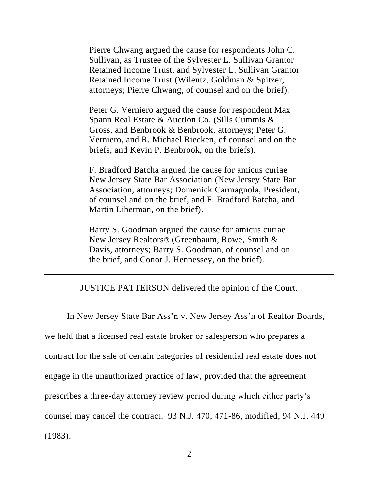Pierre Chwang argued the cause for respondents John C. Sullivan, as Trustee of the Sylvester L. Sullivan Grantor Retained Income Trust, and Sylvester L. Sullivan Grantor Retained Income Trust (Wilentz, Goldman & Spitzer, attorneys; Pierre Chwang, of counsel and on the brief).

Peter G. Verniero argued the cause for respondent Max Spann Real Estate & Auction Co. (Sills Cummis & Gross, and Benbrook & Benbrook, attorneys; Peter G. Verniero, and R. Michael Riecken, of counsel and on the briefs, and Kevin P. Benbrook, on the briefs).

F. Bradford Batcha argued the cause for amicus curiae New Jersey State Bar Association (New Jersey State Bar Association, attorneys; Domenick Carmagnola, President, of counsel and on the brief, and F. Bradford Batcha, and Martin Liberman, on the brief).

Barry S. Goodman argued the cause for amicus curiae New Jersey Realtors® (Greenbaum, Rowe, Smith & Davis, attorneys; Barry S. Goodman, of counsel and on the brief, and Conor J. Hennessey, on the brief).

JUSTICE PATTERSON delivered the opinion of the Court.

# In New Jersey State Bar Ass'n v. New Jersey Ass'n of Realtor Boards,

we held that a licensed real estate broker or salesperson who prepares a contract for the sale of certain categories of residential real estate does not engage in the unauthorized practice of law, provided that the agreement prescribes a three-day attorney review period during which either party's counsel may cancel the contract. 93 N.J. 470, 471-86, modified, 94 N.J. 449 (1983).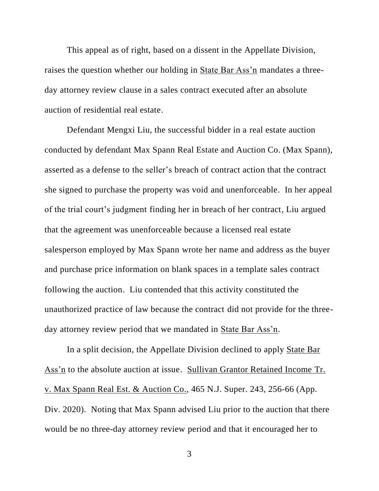This appeal as of right, based on a dissent in the Appellate Division, raises the question whether our holding in State Bar Ass'n mandates a threeday attorney review clause in a sales contract executed after an absolute auction of residential real estate.

Defendant Mengxi Liu, the successful bidder in a real estate auction conducted by defendant Max Spann Real Estate and Auction Co. (Max Spann), asserted as a defense to the seller's breach of contract action that the contract she signed to purchase the property was void and unenforceable. In her appeal of the trial court's judgment finding her in breach of her contract, Liu argued that the agreement was unenforceable because a licensed real estate salesperson employed by Max Spann wrote her name and address as the buyer and purchase price information on blank spaces in a template sales contract following the auction. Liu contended that this activity constituted the unauthorized practice of law because the contract did not provide for the threeday attorney review period that we mandated in State Bar Ass'n.

In a split decision, the Appellate Division declined to apply State Bar Ass'n to the absolute auction at issue. Sullivan Grantor Retained Income Tr. v. Max Spann Real Est. & Auction Co., 465 N.J. Super. 243, 256-66 (App. Div. 2020). Noting that Max Spann advised Liu prior to the auction that there would be no three-day attorney review period and that it encouraged her to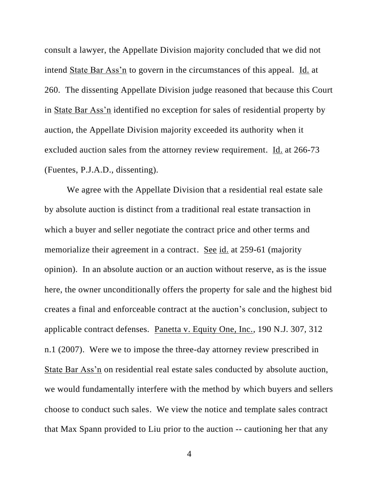consult a lawyer, the Appellate Division majority concluded that we did not intend State Bar Ass'n to govern in the circumstances of this appeal. Id. at 260. The dissenting Appellate Division judge reasoned that because this Court in State Bar Ass'n identified no exception for sales of residential property by auction, the Appellate Division majority exceeded its authority when it excluded auction sales from the attorney review requirement. Id. at 266-73 (Fuentes, P.J.A.D., dissenting).

We agree with the Appellate Division that a residential real estate sale by absolute auction is distinct from a traditional real estate transaction in which a buyer and seller negotiate the contract price and other terms and memorialize their agreement in a contract. See id. at 259-61 (majority opinion). In an absolute auction or an auction without reserve, as is the issue here, the owner unconditionally offers the property for sale and the highest bid creates a final and enforceable contract at the auction's conclusion, subject to applicable contract defenses. Panetta v. Equity One, Inc., 190 N.J. 307, 312 n.1 (2007). Were we to impose the three-day attorney review prescribed in State Bar Ass'n on residential real estate sales conducted by absolute auction, we would fundamentally interfere with the method by which buyers and sellers choose to conduct such sales. We view the notice and template sales contract that Max Spann provided to Liu prior to the auction -- cautioning her that any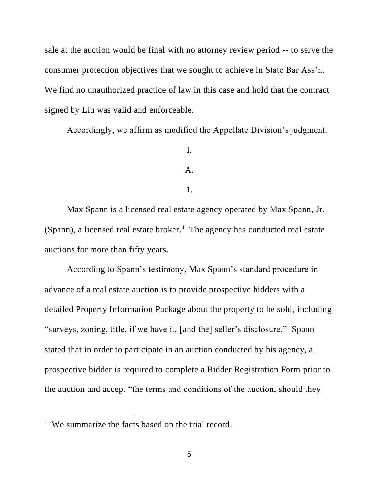sale at the auction would be final with no attorney review period -- to serve the consumer protection objectives that we sought to achieve in State Bar Ass'n. We find no unauthorized practice of law in this case and hold that the contract signed by Liu was valid and enforceable.

Accordingly, we affirm as modified the Appellate Division's judgment.

# I.

## A.

#### 1.

Max Spann is a licensed real estate agency operated by Max Spann, Jr. (Spann), a licensed real estate broker.<sup>1</sup> The agency has conducted real estate auctions for more than fifty years.

According to Spann's testimony, Max Spann's standard procedure in advance of a real estate auction is to provide prospective bidders with a detailed Property Information Package about the property to be sold, including "surveys, zoning, title, if we have it, [and the] seller's disclosure." Spann stated that in order to participate in an auction conducted by his agency, a prospective bidder is required to complete a Bidder Registration Form prior to the auction and accept "the terms and conditions of the auction, should they

<sup>&</sup>lt;sup>1</sup> We summarize the facts based on the trial record.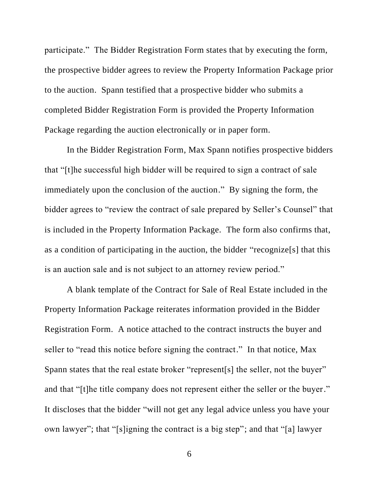participate." The Bidder Registration Form states that by executing the form, the prospective bidder agrees to review the Property Information Package prior to the auction. Spann testified that a prospective bidder who submits a completed Bidder Registration Form is provided the Property Information Package regarding the auction electronically or in paper form.

In the Bidder Registration Form, Max Spann notifies prospective bidders that "[t]he successful high bidder will be required to sign a contract of sale immediately upon the conclusion of the auction." By signing the form, the bidder agrees to "review the contract of sale prepared by Seller's Counsel" that is included in the Property Information Package. The form also confirms that, as a condition of participating in the auction, the bidder "recognize[s] that this is an auction sale and is not subject to an attorney review period."

A blank template of the Contract for Sale of Real Estate included in the Property Information Package reiterates information provided in the Bidder Registration Form. A notice attached to the contract instructs the buyer and seller to "read this notice before signing the contract." In that notice, Max Spann states that the real estate broker "represent[s] the seller, not the buyer" and that "[t]he title company does not represent either the seller or the buyer." It discloses that the bidder "will not get any legal advice unless you have your own lawyer"; that "[s]igning the contract is a big step"; and that "[a] lawyer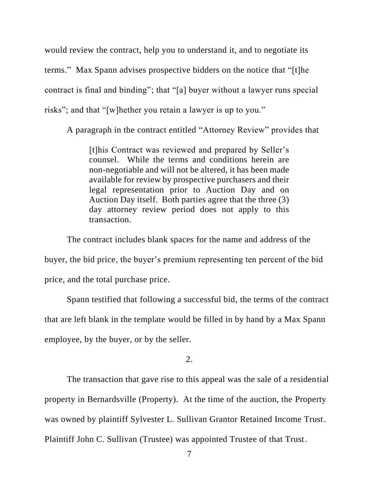would review the contract, help you to understand it, and to negotiate its terms." Max Spann advises prospective bidders on the notice that "[t]he contract is final and binding"; that "[a] buyer without a lawyer runs special risks"; and that "[w]hether you retain a lawyer is up to you."

A paragraph in the contract entitled "Attorney Review" provides that

[t]his Contract was reviewed and prepared by Seller's counsel. While the terms and conditions herein are non-negotiable and will not be altered, it has been made available for review by prospective purchasers and their legal representation prior to Auction Day and on Auction Day itself. Both parties agree that the three (3) day attorney review period does not apply to this transaction.

The contract includes blank spaces for the name and address of the buyer, the bid price, the buyer's premium representing ten percent of the bid price, and the total purchase price.

Spann testified that following a successful bid, the terms of the contract that are left blank in the template would be filled in by hand by a Max Spann employee, by the buyer, or by the seller.

2.

The transaction that gave rise to this appeal was the sale of a residential property in Bernardsville (Property). At the time of the auction, the Property was owned by plaintiff Sylvester L. Sullivan Grantor Retained Income Trust. Plaintiff John C. Sullivan (Trustee) was appointed Trustee of that Trust.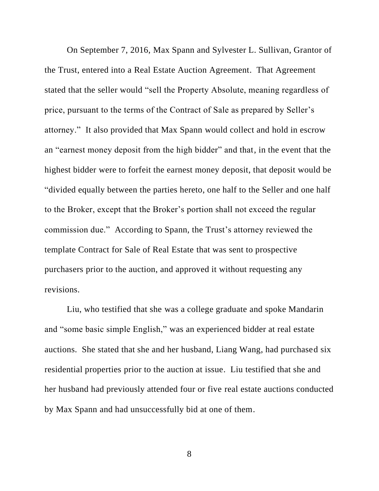On September 7, 2016, Max Spann and Sylvester L. Sullivan, Grantor of the Trust, entered into a Real Estate Auction Agreement. That Agreement stated that the seller would "sell the Property Absolute, meaning regardless of price, pursuant to the terms of the Contract of Sale as prepared by Seller's attorney." It also provided that Max Spann would collect and hold in escrow an "earnest money deposit from the high bidder" and that, in the event that the highest bidder were to forfeit the earnest money deposit, that deposit would be "divided equally between the parties hereto, one half to the Seller and one half to the Broker, except that the Broker's portion shall not exceed the regular commission due." According to Spann, the Trust's attorney reviewed the template Contract for Sale of Real Estate that was sent to prospective purchasers prior to the auction, and approved it without requesting any revisions.

Liu, who testified that she was a college graduate and spoke Mandarin and "some basic simple English," was an experienced bidder at real estate auctions. She stated that she and her husband, Liang Wang, had purchased six residential properties prior to the auction at issue. Liu testified that she and her husband had previously attended four or five real estate auctions conducted by Max Spann and had unsuccessfully bid at one of them.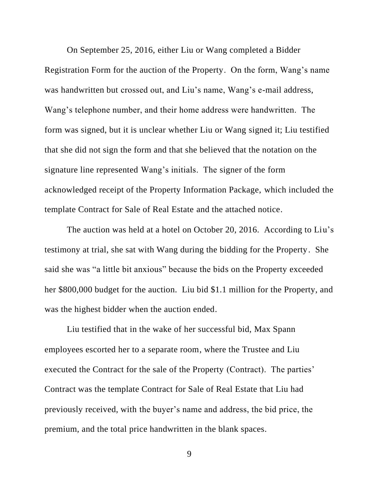On September 25, 2016, either Liu or Wang completed a Bidder Registration Form for the auction of the Property. On the form, Wang's name was handwritten but crossed out, and Liu's name, Wang's e-mail address, Wang's telephone number, and their home address were handwritten. The form was signed, but it is unclear whether Liu or Wang signed it; Liu testified that she did not sign the form and that she believed that the notation on the signature line represented Wang's initials. The signer of the form acknowledged receipt of the Property Information Package, which included the template Contract for Sale of Real Estate and the attached notice.

The auction was held at a hotel on October 20, 2016. According to Liu's testimony at trial, she sat with Wang during the bidding for the Property. She said she was "a little bit anxious" because the bids on the Property exceeded her \$800,000 budget for the auction. Liu bid \$1.1 million for the Property, and was the highest bidder when the auction ended.

Liu testified that in the wake of her successful bid, Max Spann employees escorted her to a separate room, where the Trustee and Liu executed the Contract for the sale of the Property (Contract). The parties' Contract was the template Contract for Sale of Real Estate that Liu had previously received, with the buyer's name and address, the bid price, the premium, and the total price handwritten in the blank spaces.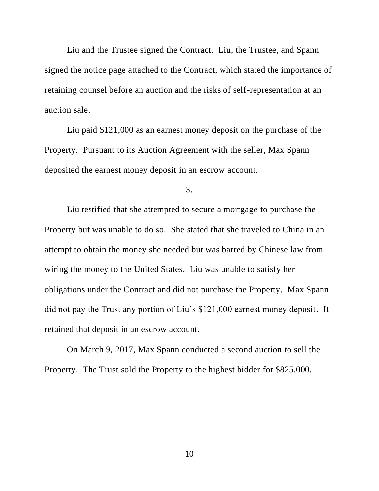Liu and the Trustee signed the Contract. Liu, the Trustee, and Spann signed the notice page attached to the Contract, which stated the importance of retaining counsel before an auction and the risks of self-representation at an auction sale.

Liu paid \$121,000 as an earnest money deposit on the purchase of the Property. Pursuant to its Auction Agreement with the seller, Max Spann deposited the earnest money deposit in an escrow account.

3.

Liu testified that she attempted to secure a mortgage to purchase the Property but was unable to do so. She stated that she traveled to China in an attempt to obtain the money she needed but was barred by Chinese law from wiring the money to the United States. Liu was unable to satisfy her obligations under the Contract and did not purchase the Property. Max Spann did not pay the Trust any portion of Liu's \$121,000 earnest money deposit. It retained that deposit in an escrow account.

On March 9, 2017, Max Spann conducted a second auction to sell the Property. The Trust sold the Property to the highest bidder for \$825,000.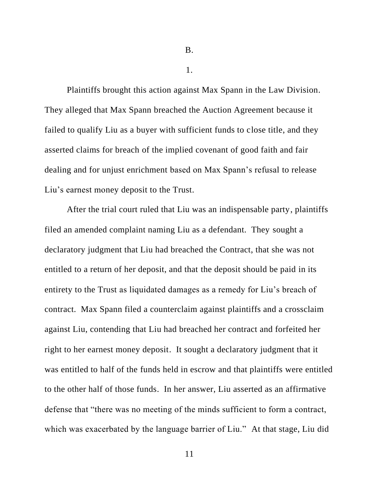B.

1.

Plaintiffs brought this action against Max Spann in the Law Division. They alleged that Max Spann breached the Auction Agreement because it failed to qualify Liu as a buyer with sufficient funds to close title, and they asserted claims for breach of the implied covenant of good faith and fair dealing and for unjust enrichment based on Max Spann's refusal to release Liu's earnest money deposit to the Trust.

After the trial court ruled that Liu was an indispensable party, plaintiffs filed an amended complaint naming Liu as a defendant. They sought a declaratory judgment that Liu had breached the Contract, that she was not entitled to a return of her deposit, and that the deposit should be paid in its entirety to the Trust as liquidated damages as a remedy for Liu's breach of contract. Max Spann filed a counterclaim against plaintiffs and a crossclaim against Liu, contending that Liu had breached her contract and forfeited her right to her earnest money deposit. It sought a declaratory judgment that it was entitled to half of the funds held in escrow and that plaintiffs were entitled to the other half of those funds. In her answer, Liu asserted as an affirmative defense that "there was no meeting of the minds sufficient to form a contract, which was exacerbated by the language barrier of Liu." At that stage, Liu did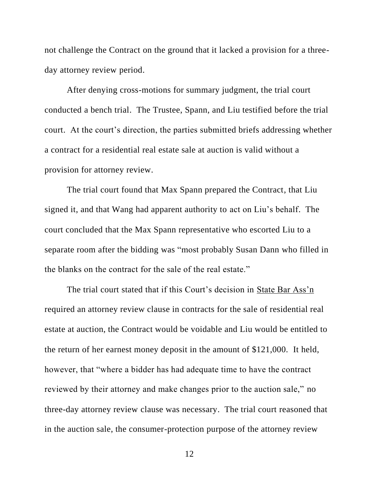not challenge the Contract on the ground that it lacked a provision for a threeday attorney review period.

After denying cross-motions for summary judgment, the trial court conducted a bench trial. The Trustee, Spann, and Liu testified before the trial court. At the court's direction, the parties submitted briefs addressing whether a contract for a residential real estate sale at auction is valid without a provision for attorney review.

The trial court found that Max Spann prepared the Contract, that Liu signed it, and that Wang had apparent authority to act on Liu's behalf. The court concluded that the Max Spann representative who escorted Liu to a separate room after the bidding was "most probably Susan Dann who filled in the blanks on the contract for the sale of the real estate."

The trial court stated that if this Court's decision in State Bar Ass'n required an attorney review clause in contracts for the sale of residential real estate at auction, the Contract would be voidable and Liu would be entitled to the return of her earnest money deposit in the amount of \$121,000. It held, however, that "where a bidder has had adequate time to have the contract reviewed by their attorney and make changes prior to the auction sale," no three-day attorney review clause was necessary. The trial court reasoned that in the auction sale, the consumer-protection purpose of the attorney review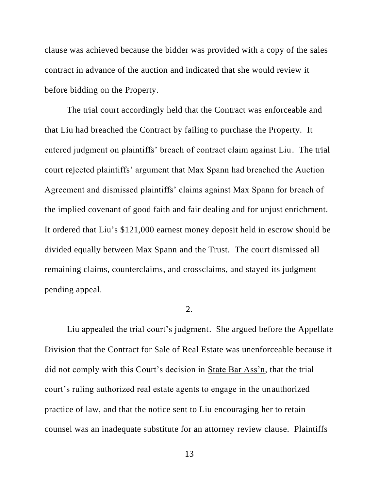clause was achieved because the bidder was provided with a copy of the sales contract in advance of the auction and indicated that she would review it before bidding on the Property.

The trial court accordingly held that the Contract was enforceable and that Liu had breached the Contract by failing to purchase the Property. It entered judgment on plaintiffs' breach of contract claim against Liu. The trial court rejected plaintiffs' argument that Max Spann had breached the Auction Agreement and dismissed plaintiffs' claims against Max Spann for breach of the implied covenant of good faith and fair dealing and for unjust enrichment. It ordered that Liu's \$121,000 earnest money deposit held in escrow should be divided equally between Max Spann and the Trust. The court dismissed all remaining claims, counterclaims, and crossclaims, and stayed its judgment pending appeal.

## 2.

Liu appealed the trial court's judgment. She argued before the Appellate Division that the Contract for Sale of Real Estate was unenforceable because it did not comply with this Court's decision in State Bar Ass'n, that the trial court's ruling authorized real estate agents to engage in the unauthorized practice of law, and that the notice sent to Liu encouraging her to retain counsel was an inadequate substitute for an attorney review clause. Plaintiffs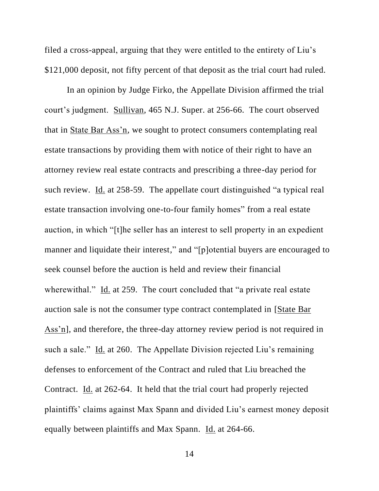filed a cross-appeal, arguing that they were entitled to the entirety of Liu's \$121,000 deposit, not fifty percent of that deposit as the trial court had ruled.

In an opinion by Judge Firko, the Appellate Division affirmed the trial court's judgment. Sullivan, 465 N.J. Super. at 256-66. The court observed that in State Bar Ass'n, we sought to protect consumers contemplating real estate transactions by providing them with notice of their right to have an attorney review real estate contracts and prescribing a three-day period for such review. Id. at 258-59. The appellate court distinguished "a typical real estate transaction involving one-to-four family homes" from a real estate auction, in which "[t]he seller has an interest to sell property in an expedient manner and liquidate their interest," and "[p]otential buyers are encouraged to seek counsel before the auction is held and review their financial wherewithal." Id. at 259. The court concluded that "a private real estate" auction sale is not the consumer type contract contemplated in [State Bar Ass'n], and therefore, the three-day attorney review period is not required in such a sale." Id. at 260. The Appellate Division rejected Liu's remaining defenses to enforcement of the Contract and ruled that Liu breached the Contract. Id. at 262-64. It held that the trial court had properly rejected plaintiffs' claims against Max Spann and divided Liu's earnest money deposit equally between plaintiffs and Max Spann. Id. at 264-66.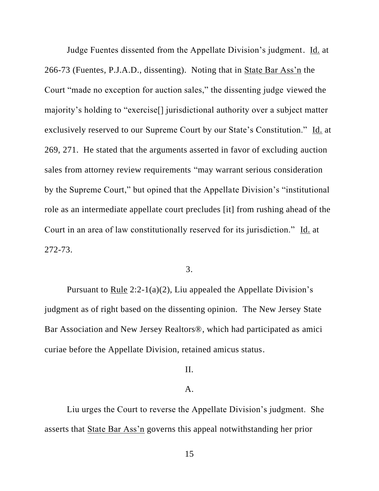Judge Fuentes dissented from the Appellate Division's judgment. Id. at 266-73 (Fuentes, P.J.A.D., dissenting). Noting that in State Bar Ass'n the Court "made no exception for auction sales," the dissenting judge viewed the majority's holding to "exercise[] jurisdictional authority over a subject matter exclusively reserved to our Supreme Court by our State's Constitution." Id. at 269, 271. He stated that the arguments asserted in favor of excluding auction sales from attorney review requirements "may warrant serious consideration by the Supreme Court," but opined that the Appellate Division's "institutional role as an intermediate appellate court precludes [it] from rushing ahead of the Court in an area of law constitutionally reserved for its jurisdiction." Id. at 272-73.

## 3.

Pursuant to Rule 2:2-1(a)(2), Liu appealed the Appellate Division's judgment as of right based on the dissenting opinion. The New Jersey State Bar Association and New Jersey Realtors®, which had participated as amici curiae before the Appellate Division, retained amicus status.

### II.

## A.

Liu urges the Court to reverse the Appellate Division's judgment. She asserts that State Bar Ass'n governs this appeal notwithstanding her prior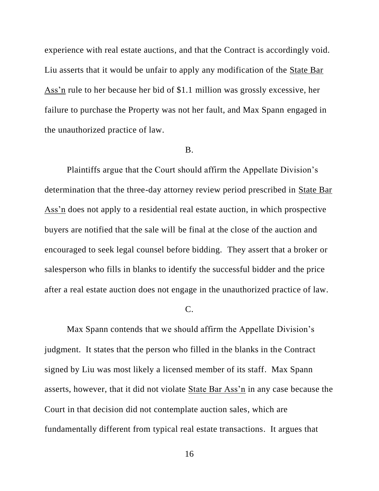experience with real estate auctions, and that the Contract is accordingly void. Liu asserts that it would be unfair to apply any modification of the State Bar Ass'n rule to her because her bid of \$1.1 million was grossly excessive, her failure to purchase the Property was not her fault, and Max Spann engaged in the unauthorized practice of law.

### B.

Plaintiffs argue that the Court should affirm the Appellate Division's determination that the three-day attorney review period prescribed in State Bar Ass'n does not apply to a residential real estate auction, in which prospective buyers are notified that the sale will be final at the close of the auction and encouraged to seek legal counsel before bidding. They assert that a broker or salesperson who fills in blanks to identify the successful bidder and the price after a real estate auction does not engage in the unauthorized practice of law.

C.

Max Spann contends that we should affirm the Appellate Division's judgment. It states that the person who filled in the blanks in the Contract signed by Liu was most likely a licensed member of its staff. Max Spann asserts, however, that it did not violate State Bar Ass'n in any case because the Court in that decision did not contemplate auction sales, which are fundamentally different from typical real estate transactions. It argues that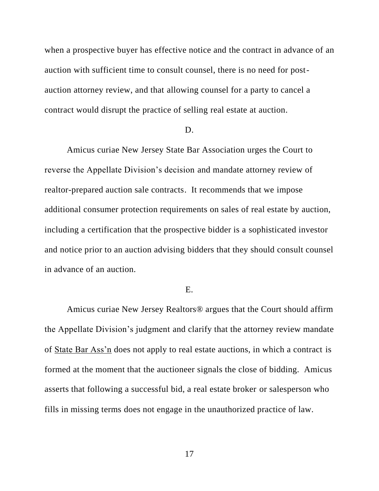when a prospective buyer has effective notice and the contract in advance of an auction with sufficient time to consult counsel, there is no need for postauction attorney review, and that allowing counsel for a party to cancel a contract would disrupt the practice of selling real estate at auction.

### D.

Amicus curiae New Jersey State Bar Association urges the Court to reverse the Appellate Division's decision and mandate attorney review of realtor-prepared auction sale contracts. It recommends that we impose additional consumer protection requirements on sales of real estate by auction, including a certification that the prospective bidder is a sophisticated investor and notice prior to an auction advising bidders that they should consult counsel in advance of an auction.

## E.

Amicus curiae New Jersey Realtors® argues that the Court should affirm the Appellate Division's judgment and clarify that the attorney review mandate of State Bar Ass'n does not apply to real estate auctions, in which a contract is formed at the moment that the auctioneer signals the close of bidding. Amicus asserts that following a successful bid, a real estate broker or salesperson who fills in missing terms does not engage in the unauthorized practice of law.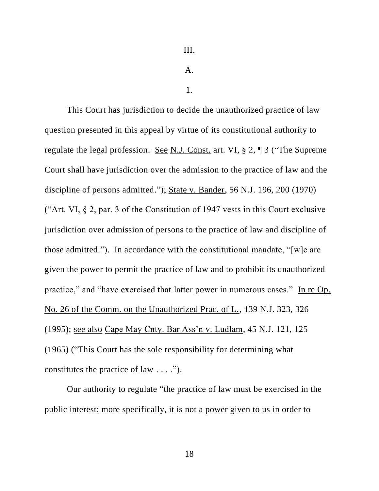A.

1.

This Court has jurisdiction to decide the unauthorized practice of law question presented in this appeal by virtue of its constitutional authority to regulate the legal profession. See N.J. Const. art. VI, § 2, ¶ 3 ("The Supreme Court shall have jurisdiction over the admission to the practice of law and the discipline of persons admitted."); State v. Bander, 56 N.J. 196, 200 (1970) ("Art. VI, § 2, par. 3 of the Constitution of 1947 vests in this Court exclusive jurisdiction over admission of persons to the practice of law and discipline of those admitted."). In accordance with the constitutional mandate, "[w]e are given the power to permit the practice of law and to prohibit its unauthorized practice," and "have exercised that latter power in numerous cases." In re Op. No. 26 of the Comm. on the Unauthorized Prac. of L., 139 N.J. 323, 326 (1995); see also Cape May Cnty. Bar Ass'n v. Ludlam, 45 N.J. 121, 125 (1965) ("This Court has the sole responsibility for determining what constitutes the practice of law . . . .").

Our authority to regulate "the practice of law must be exercised in the public interest; more specifically, it is not a power given to us in order to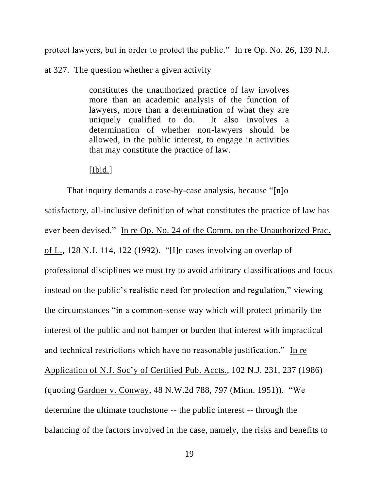protect lawyers, but in order to protect the public." In re Op. No. 26, 139 N.J.

at 327. The question whether a given activity

constitutes the unauthorized practice of law involves more than an academic analysis of the function of lawyers, more than a determination of what they are uniquely qualified to do. It also involves a determination of whether non-lawyers should be allowed, in the public interest, to engage in activities that may constitute the practice of law.

[Ibid.]

That inquiry demands a case-by-case analysis, because "[n]o satisfactory, all-inclusive definition of what constitutes the practice of law has ever been devised." In re Op. No. 24 of the Comm. on the Unauthorized Prac. of L., 128 N.J. 114, 122 (1992). "[I]n cases involving an overlap of professional disciplines we must try to avoid arbitrary classifications and focus instead on the public's realistic need for protection and regulation," viewing the circumstances "in a common-sense way which will protect primarily the interest of the public and not hamper or burden that interest with impractical and technical restrictions which have no reasonable justification." In re Application of N.J. Soc'y of Certified Pub. Accts., 102 N.J. 231, 237 (1986) (quoting Gardner v. Conway, 48 N.W.2d 788, 797 (Minn. 1951)). "We determine the ultimate touchstone -- the public interest -- through the balancing of the factors involved in the case, namely, the risks and benefits to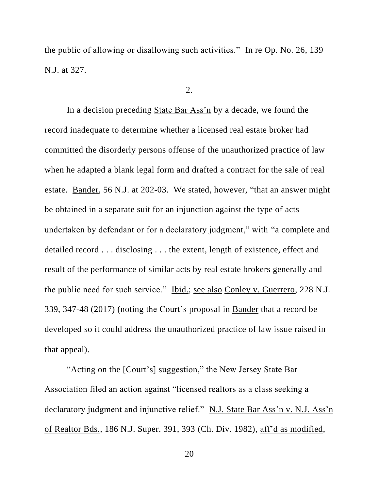the public of allowing or disallowing such activities." In re Op. No. 26, 139 N.J. at 327.

### 2.

In a decision preceding State Bar Ass'n by a decade, we found the record inadequate to determine whether a licensed real estate broker had committed the disorderly persons offense of the unauthorized practice of law when he adapted a blank legal form and drafted a contract for the sale of real estate. Bander, 56 N.J. at 202-03. We stated, however, "that an answer might be obtained in a separate suit for an injunction against the type of acts undertaken by defendant or for a declaratory judgment," with "a complete and detailed record . . . disclosing . . . the extent, length of existence, effect and result of the performance of similar acts by real estate brokers generally and the public need for such service." Ibid.; see also Conley v. Guerrero, 228 N.J. 339, 347-48 (2017) (noting the Court's proposal in Bander that a record be developed so it could address the unauthorized practice of law issue raised in that appeal).

"Acting on the [Court's] suggestion," the New Jersey State Bar Association filed an action against "licensed realtors as a class seeking a declaratory judgment and injunctive relief." N.J. State Bar Ass'n v. N.J. Ass'n of Realtor Bds., 186 N.J. Super. 391, 393 (Ch. Div. 1982), aff'd as modified,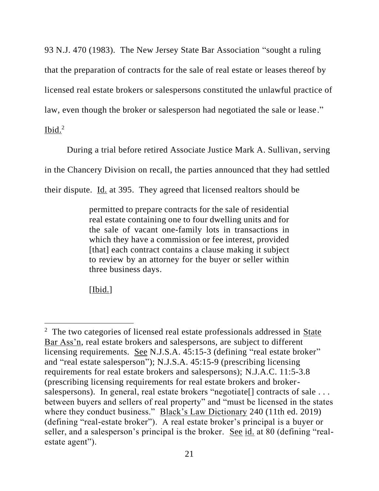93 N.J. 470 (1983). The New Jersey State Bar Association "sought a ruling that the preparation of contracts for the sale of real estate or leases thereof by licensed real estate brokers or salespersons constituted the unlawful practice of law, even though the broker or salesperson had negotiated the sale or lease."

 $I<sub>bid.</sub><sup>2</sup>$ 

During a trial before retired Associate Justice Mark A. Sullivan, serving

in the Chancery Division on recall, the parties announced that they had settled

their dispute. Id. at 395. They agreed that licensed realtors should be

permitted to prepare contracts for the sale of residential real estate containing one to four dwelling units and for the sale of vacant one-family lots in transactions in which they have a commission or fee interest, provided [that] each contract contains a clause making it subject to review by an attorney for the buyer or seller within three business days.

[Ibid.]

<sup>&</sup>lt;sup>2</sup> The two categories of licensed real estate professionals addressed in State Bar Ass'n, real estate brokers and salespersons, are subject to different licensing requirements. See N.J.S.A. 45:15-3 (defining "real estate broker" and "real estate salesperson"); N.J.S.A. 45:15-9 (prescribing licensing requirements for real estate brokers and salespersons); N.J.A.C. 11:5-3.8 (prescribing licensing requirements for real estate brokers and brokersalespersons). In general, real estate brokers "negotiate<sup>[]</sup> contracts of sale ... between buyers and sellers of real property" and "must be licensed in the states where they conduct business." Black's Law Dictionary 240 (11th ed. 2019) (defining "real-estate broker"). A real estate broker's principal is a buyer or seller, and a salesperson's principal is the broker. See id. at 80 (defining "realestate agent").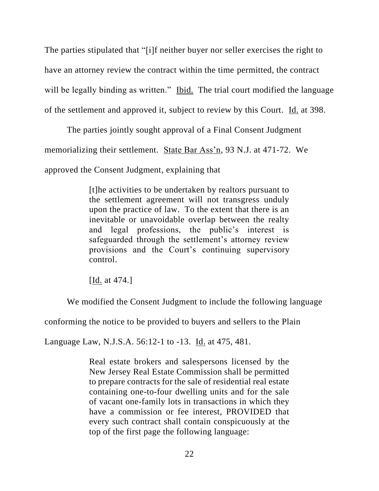The parties stipulated that "[i]f neither buyer nor seller exercises the right to have an attorney review the contract within the time permitted, the contract will be legally binding as written." Ibid. The trial court modified the language of the settlement and approved it, subject to review by this Court. Id. at 398.

The parties jointly sought approval of a Final Consent Judgment memorializing their settlement. State Bar Ass'n, 93 N.J. at 471-72. We approved the Consent Judgment, explaining that

> [t]he activities to be undertaken by realtors pursuant to the settlement agreement will not transgress unduly upon the practice of law. To the extent that there is an inevitable or unavoidable overlap between the realty and legal professions, the public's interest is safeguarded through the settlement's attorney review provisions and the Court's continuing supervisory control.

[Id. at 474.]

We modified the Consent Judgment to include the following language

conforming the notice to be provided to buyers and sellers to the Plain

Language Law, N.J.S.A. 56:12-1 to -13. Id. at 475, 481.

Real estate brokers and salespersons licensed by the New Jersey Real Estate Commission shall be permitted to prepare contracts for the sale of residential real estate containing one-to-four dwelling units and for the sale of vacant one-family lots in transactions in which they have a commission or fee interest, PROVIDED that every such contract shall contain conspicuously at the top of the first page the following language: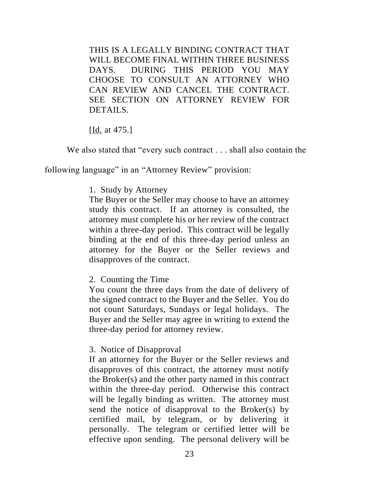THIS IS A LEGALLY BINDING CONTRACT THAT WILL BECOME FINAL WITHIN THREE BUSINESS DAYS. DURING THIS PERIOD YOU MAY CHOOSE TO CONSULT AN ATTORNEY WHO CAN REVIEW AND CANCEL THE CONTRACT. SEE SECTION ON ATTORNEY REVIEW FOR DETAILS.

[<u>Id.</u> at 475.]

We also stated that "every such contract . . . shall also contain the

following language" in an "Attorney Review" provision:

# 1. Study by Attorney

The Buyer or the Seller may choose to have an attorney study this contract. If an attorney is consulted, the attorney must complete his or her review of the contract within a three-day period. This contract will be legally binding at the end of this three-day period unless an attorney for the Buyer or the Seller reviews and disapproves of the contract.

# 2. Counting the Time

You count the three days from the date of delivery of the signed contract to the Buyer and the Seller. You do not count Saturdays, Sundays or legal holidays. The Buyer and the Seller may agree in writing to extend the three-day period for attorney review.

3. Notice of Disapproval

If an attorney for the Buyer or the Seller reviews and disapproves of this contract, the attorney must notify the Broker(s) and the other party named in this contract within the three-day period. Otherwise this contract will be legally binding as written. The attorney must send the notice of disapproval to the Broker(s) by certified mail, by telegram, or by delivering it personally. The telegram or certified letter will be effective upon sending. The personal delivery will be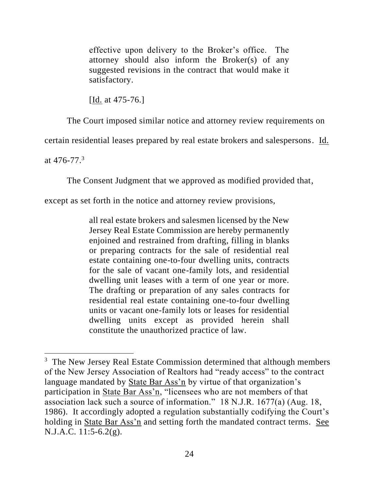effective upon delivery to the Broker's office. The attorney should also inform the Broker(s) of any suggested revisions in the contract that would make it satisfactory.

[Id. at 475-76.]

The Court imposed similar notice and attorney review requirements on

certain residential leases prepared by real estate brokers and salespersons. Id.

at  $476 - 77$ .<sup>3</sup>

The Consent Judgment that we approved as modified provided that,

except as set forth in the notice and attorney review provisions,

all real estate brokers and salesmen licensed by the New Jersey Real Estate Commission are hereby permanently enjoined and restrained from drafting, filling in blanks or preparing contracts for the sale of residential real estate containing one-to-four dwelling units, contracts for the sale of vacant one-family lots, and residential dwelling unit leases with a term of one year or more. The drafting or preparation of any sales contracts for residential real estate containing one-to-four dwelling units or vacant one-family lots or leases for residential dwelling units except as provided herein shall constitute the unauthorized practice of law.

 $3$  The New Jersey Real Estate Commission determined that although members of the New Jersey Association of Realtors had "ready access" to the contract language mandated by State Bar Ass'n by virtue of that organization's participation in State Bar Ass'n, "licensees who are not members of that association lack such a source of information." 18 N.J.R. 1677(a) (Aug. 18, 1986). It accordingly adopted a regulation substantially codifying the Court's holding in State Bar Ass'n and setting forth the mandated contract terms. See N.J.A.C. 11:5-6.2(g).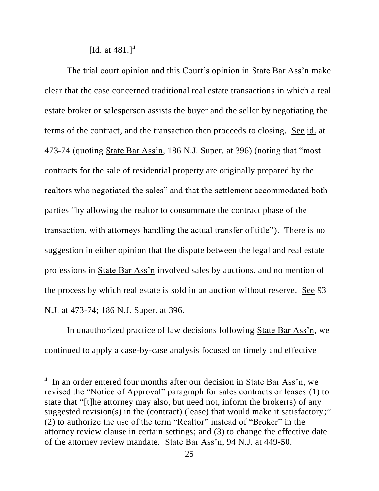[Id. at  $481.$ ]<sup>4</sup>

The trial court opinion and this Court's opinion in State Bar Ass'n make clear that the case concerned traditional real estate transactions in which a real estate broker or salesperson assists the buyer and the seller by negotiating the terms of the contract, and the transaction then proceeds to closing. See id. at 473-74 (quoting State Bar Ass'n, 186 N.J. Super. at 396) (noting that "most contracts for the sale of residential property are originally prepared by the realtors who negotiated the sales" and that the settlement accommodated both parties "by allowing the realtor to consummate the contract phase of the transaction, with attorneys handling the actual transfer of title"). There is no suggestion in either opinion that the dispute between the legal and real estate professions in State Bar Ass'n involved sales by auctions, and no mention of the process by which real estate is sold in an auction without reserve. See 93 N.J. at 473-74; 186 N.J. Super. at 396.

In unauthorized practice of law decisions following State Bar Ass'n, we continued to apply a case-by-case analysis focused on timely and effective

<sup>&</sup>lt;sup>4</sup> In an order entered four months after our decision in State Bar Ass'n, we revised the "Notice of Approval" paragraph for sales contracts or leases (1) to state that "[t]he attorney may also, but need not, inform the broker(s) of any suggested revision(s) in the (contract) (lease) that would make it satisfactory;" (2) to authorize the use of the term "Realtor" instead of "Broker" in the attorney review clause in certain settings; and (3) to change the effective date of the attorney review mandate. State Bar Ass'n, 94 N.J. at 449-50.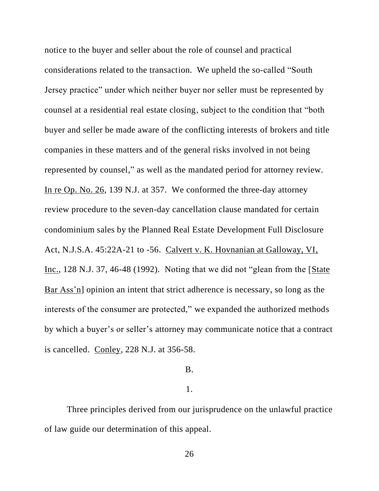notice to the buyer and seller about the role of counsel and practical considerations related to the transaction. We upheld the so-called "South Jersey practice" under which neither buyer nor seller must be represented by counsel at a residential real estate closing, subject to the condition that "both buyer and seller be made aware of the conflicting interests of brokers and title companies in these matters and of the general risks involved in not being represented by counsel," as well as the mandated period for attorney review. In re Op. No. 26, 139 N.J. at 357. We conformed the three-day attorney review procedure to the seven-day cancellation clause mandated for certain condominium sales by the Planned Real Estate Development Full Disclosure Act, N.J.S.A. 45:22A-21 to -56. Calvert v. K. Hovnanian at Galloway, VI, Inc., 128 N.J. 37, 46-48 (1992). Noting that we did not "glean from the [State Bar Ass'n] opinion an intent that strict adherence is necessary, so long as the interests of the consumer are protected," we expanded the authorized methods by which a buyer's or seller's attorney may communicate notice that a contract is cancelled. Conley, 228 N.J. at 356-58.

## B.

## 1.

Three principles derived from our jurisprudence on the unlawful practice of law guide our determination of this appeal.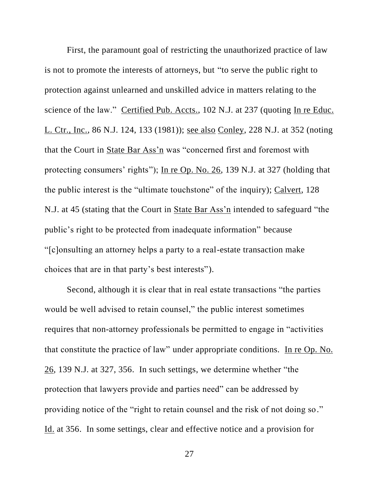First, the paramount goal of restricting the unauthorized practice of law is not to promote the interests of attorneys, but "to serve the public right to protection against unlearned and unskilled advice in matters relating to the science of the law." Certified Pub. Accts., 102 N.J. at 237 (quoting In re Educ. L. Ctr., Inc., 86 N.J. 124, 133 (1981)); see also Conley, 228 N.J. at 352 (noting that the Court in State Bar Ass'n was "concerned first and foremost with protecting consumers' rights"); In re Op. No. 26, 139 N.J. at 327 (holding that the public interest is the "ultimate touchstone" of the inquiry); Calvert, 128 N.J. at 45 (stating that the Court in State Bar Ass'n intended to safeguard "the public's right to be protected from inadequate information" because "[c]onsulting an attorney helps a party to a real-estate transaction make choices that are in that party's best interests").

Second, although it is clear that in real estate transactions "the parties would be well advised to retain counsel," the public interest sometimes requires that non-attorney professionals be permitted to engage in "activities that constitute the practice of law" under appropriate conditions. In re Op. No. 26, 139 N.J. at 327, 356. In such settings, we determine whether "the protection that lawyers provide and parties need" can be addressed by providing notice of the "right to retain counsel and the risk of not doing so." Id. at 356. In some settings, clear and effective notice and a provision for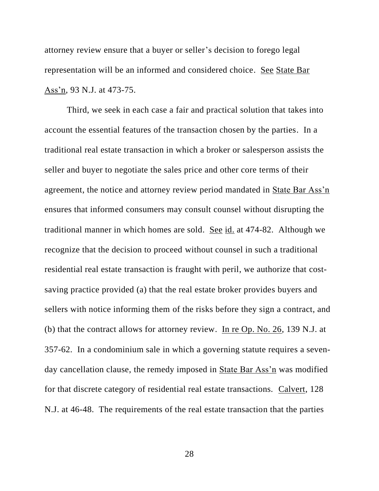attorney review ensure that a buyer or seller's decision to forego legal representation will be an informed and considered choice. See State Bar Ass'n, 93 N.J. at 473-75.

Third, we seek in each case a fair and practical solution that takes into account the essential features of the transaction chosen by the parties. In a traditional real estate transaction in which a broker or salesperson assists the seller and buyer to negotiate the sales price and other core terms of their agreement, the notice and attorney review period mandated in State Bar Ass'n ensures that informed consumers may consult counsel without disrupting the traditional manner in which homes are sold. See id. at 474-82. Although we recognize that the decision to proceed without counsel in such a traditional residential real estate transaction is fraught with peril, we authorize that costsaving practice provided (a) that the real estate broker provides buyers and sellers with notice informing them of the risks before they sign a contract, and (b) that the contract allows for attorney review. In re Op. No. 26, 139 N.J. at 357-62. In a condominium sale in which a governing statute requires a sevenday cancellation clause, the remedy imposed in State Bar Ass'n was modified for that discrete category of residential real estate transactions. Calvert, 128 N.J. at 46-48. The requirements of the real estate transaction that the parties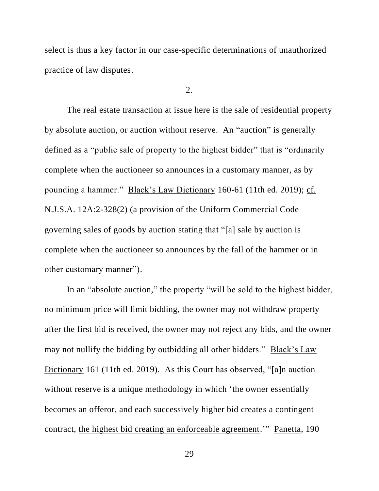select is thus a key factor in our case-specific determinations of unauthorized practice of law disputes.

 $2<sub>1</sub>$ 

The real estate transaction at issue here is the sale of residential property by absolute auction, or auction without reserve. An "auction" is generally defined as a "public sale of property to the highest bidder" that is "ordinarily complete when the auctioneer so announces in a customary manner, as by pounding a hammer." Black's Law Dictionary 160-61 (11th ed. 2019); cf. N.J.S.A. 12A:2-328(2) (a provision of the Uniform Commercial Code governing sales of goods by auction stating that "[a] sale by auction is complete when the auctioneer so announces by the fall of the hammer or in other customary manner").

In an "absolute auction," the property "will be sold to the highest bidder, no minimum price will limit bidding, the owner may not withdraw property after the first bid is received, the owner may not reject any bids, and the owner may not nullify the bidding by outbidding all other bidders." Black's Law Dictionary 161 (11th ed. 2019). As this Court has observed, "[a]n auction without reserve is a unique methodology in which 'the owner essentially becomes an offeror, and each successively higher bid creates a contingent contract, the highest bid creating an enforceable agreement.'" Panetta, 190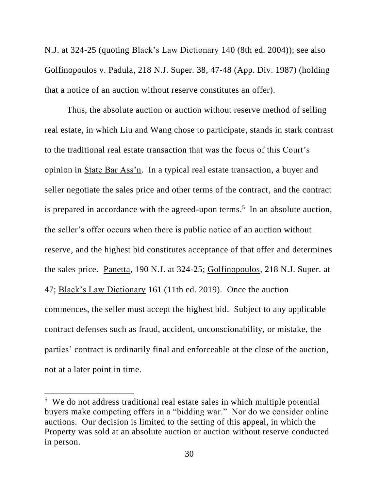N.J. at 324-25 (quoting Black's Law Dictionary 140 (8th ed. 2004)); see also Golfinopoulos v. Padula, 218 N.J. Super. 38, 47-48 (App. Div. 1987) (holding that a notice of an auction without reserve constitutes an offer).

Thus, the absolute auction or auction without reserve method of selling real estate, in which Liu and Wang chose to participate, stands in stark contrast to the traditional real estate transaction that was the focus of this Court's opinion in State Bar Ass'n. In a typical real estate transaction, a buyer and seller negotiate the sales price and other terms of the contract, and the contract is prepared in accordance with the agreed-upon terms.<sup>5</sup> In an absolute auction, the seller's offer occurs when there is public notice of an auction without reserve, and the highest bid constitutes acceptance of that offer and determines the sales price. Panetta, 190 N.J. at 324-25; Golfinopoulos, 218 N.J. Super. at 47; Black's Law Dictionary 161 (11th ed. 2019). Once the auction commences, the seller must accept the highest bid. Subject to any applicable contract defenses such as fraud, accident, unconscionability, or mistake, the parties' contract is ordinarily final and enforceable at the close of the auction, not at a later point in time.

<sup>5</sup> We do not address traditional real estate sales in which multiple potential buyers make competing offers in a "bidding war." Nor do we consider online auctions. Our decision is limited to the setting of this appeal, in which the Property was sold at an absolute auction or auction without reserve conducted in person.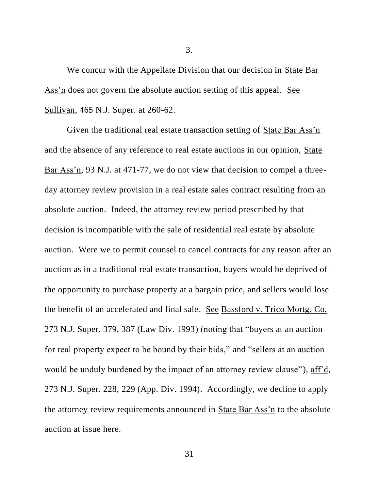We concur with the Appellate Division that our decision in State Bar Ass'n does not govern the absolute auction setting of this appeal. See Sullivan, 465 N.J. Super. at 260-62.

Given the traditional real estate transaction setting of State Bar Ass'n and the absence of any reference to real estate auctions in our opinion, State Bar Ass'n, 93 N.J. at 471-77, we do not view that decision to compel a threeday attorney review provision in a real estate sales contract resulting from an absolute auction. Indeed, the attorney review period prescribed by that decision is incompatible with the sale of residential real estate by absolute auction. Were we to permit counsel to cancel contracts for any reason after an auction as in a traditional real estate transaction, buyers would be deprived of the opportunity to purchase property at a bargain price, and sellers would lose the benefit of an accelerated and final sale. See Bassford v. Trico Mortg. Co. 273 N.J. Super. 379, 387 (Law Div. 1993) (noting that "buyers at an auction for real property expect to be bound by their bids," and "sellers at an auction would be unduly burdened by the impact of an attorney review clause"), aff'd, 273 N.J. Super. 228, 229 (App. Div. 1994). Accordingly, we decline to apply the attorney review requirements announced in State Bar Ass'n to the absolute auction at issue here.

3.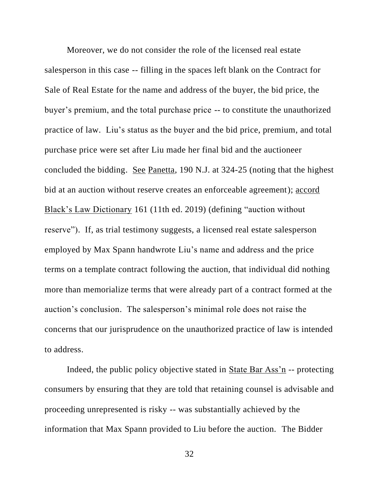Moreover, we do not consider the role of the licensed real estate salesperson in this case -- filling in the spaces left blank on the Contract for Sale of Real Estate for the name and address of the buyer, the bid price, the buyer's premium, and the total purchase price -- to constitute the unauthorized practice of law. Liu's status as the buyer and the bid price, premium, and total purchase price were set after Liu made her final bid and the auctioneer concluded the bidding. See Panetta, 190 N.J. at 324-25 (noting that the highest bid at an auction without reserve creates an enforceable agreement); accord Black's Law Dictionary 161 (11th ed. 2019) (defining "auction without reserve"). If, as trial testimony suggests, a licensed real estate salesperson employed by Max Spann handwrote Liu's name and address and the price terms on a template contract following the auction, that individual did nothing more than memorialize terms that were already part of a contract formed at the auction's conclusion. The salesperson's minimal role does not raise the concerns that our jurisprudence on the unauthorized practice of law is intended to address.

Indeed, the public policy objective stated in State Bar Ass'n -- protecting consumers by ensuring that they are told that retaining counsel is advisable and proceeding unrepresented is risky -- was substantially achieved by the information that Max Spann provided to Liu before the auction. The Bidder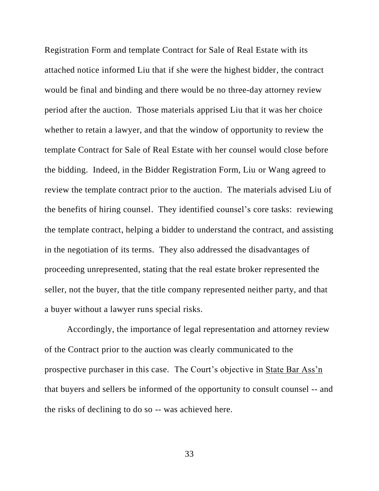Registration Form and template Contract for Sale of Real Estate with its attached notice informed Liu that if she were the highest bidder, the contract would be final and binding and there would be no three-day attorney review period after the auction. Those materials apprised Liu that it was her choice whether to retain a lawyer, and that the window of opportunity to review the template Contract for Sale of Real Estate with her counsel would close before the bidding. Indeed, in the Bidder Registration Form, Liu or Wang agreed to review the template contract prior to the auction. The materials advised Liu of the benefits of hiring counsel. They identified counsel's core tasks: reviewing the template contract, helping a bidder to understand the contract, and assisting in the negotiation of its terms. They also addressed the disadvantages of proceeding unrepresented, stating that the real estate broker represented the seller, not the buyer, that the title company represented neither party, and that a buyer without a lawyer runs special risks.

Accordingly, the importance of legal representation and attorney review of the Contract prior to the auction was clearly communicated to the prospective purchaser in this case. The Court's objective in State Bar Ass'n that buyers and sellers be informed of the opportunity to consult counsel -- and the risks of declining to do so -- was achieved here.